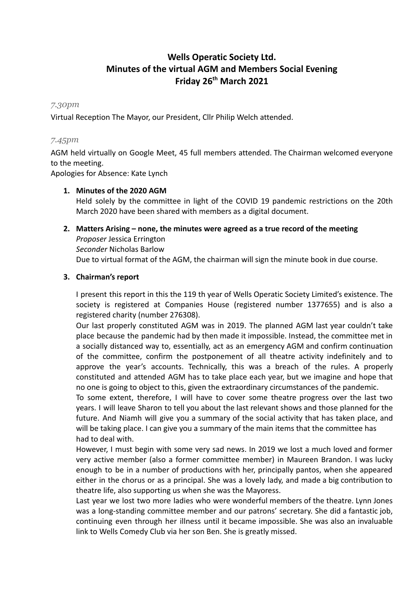# **Wells Operatic Society Ltd. Minutes of the virtual AGM and Members Social Evening Friday 26 th March 2021**

## *7.30pm*

Virtual Reception The Mayor, our President, Cllr Philip Welch attended.

## *7.45pm*

AGM held virtually on Google Meet, 45 full members attended. The Chairman welcomed everyone to the meeting.

Apologies for Absence: Kate Lynch

## **1. Minutes of the 2020 AGM**

Held solely by the committee in light of the COVID 19 pandemic restrictions on the 20th March 2020 have been shared with members as a digital document.

### **2. Matters Arising – none, the minutes were agreed as a true record of the meeting**

*Proposer* Jessica Errington *Seconder* Nicholas Barlow Due to virtual format of the AGM, the chairman will sign the minute book in due course.

## **3. Chairman's report**

I present this report in this the 119 th year of Wells Operatic Society Limited's existence. The society is registered at Companies House (registered number 1377655) and is also a registered charity (number 276308).

Our last properly constituted AGM was in 2019. The planned AGM last year couldn't take place because the pandemic had by then made it impossible. Instead, the committee met in a socially distanced way to, essentially, act as an emergency AGM and confirm continuation of the committee, confirm the postponement of all theatre activity indefinitely and to approve the year's accounts. Technically, this was a breach of the rules. A properly constituted and attended AGM has to take place each year, but we imagine and hope that no one is going to object to this, given the extraordinary circumstances of the pandemic.

To some extent, therefore, I will have to cover some theatre progress over the last two years. I will leave Sharon to tell you about the last relevant shows and those planned for the future. And Niamh will give you a summary of the social activity that has taken place, and will be taking place. I can give you a summary of the main items that the committee has had to deal with.

However, I must begin with some very sad news. In 2019 we lost a much loved and former very active member (also a former committee member) in Maureen Brandon. I was lucky enough to be in a number of productions with her, principally pantos, when she appeared either in the chorus or as a principal. She was a lovely lady, and made a big contribution to theatre life, also supporting us when she was the Mayoress.

Last year we lost two more ladies who were wonderful members of the theatre. Lynn Jones was a long-standing committee member and our patrons' secretary. She did a fantastic job, continuing even through her illness until it became impossible. She was also an invaluable link to Wells Comedy Club via her son Ben. She is greatly missed.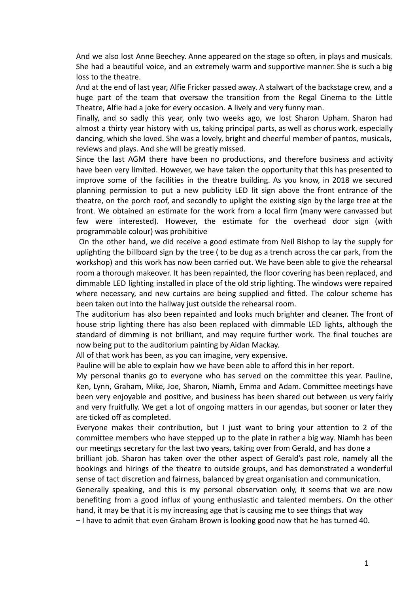And we also lost Anne Beechey. Anne appeared on the stage so often, in plays and musicals. She had a beautiful voice, and an extremely warm and supportive manner. She is such a big loss to the theatre.

And at the end of last year, Alfie Fricker passed away. A stalwart of the backstage crew, and a huge part of the team that oversaw the transition from the Regal Cinema to the Little Theatre, Alfie had a joke for every occasion. A lively and very funny man.

Finally, and so sadly this year, only two weeks ago, we lost Sharon Upham. Sharon had almost a thirty year history with us, taking principal parts, as well as chorus work, especially dancing, which she loved. She was a lovely, bright and cheerful member of pantos, musicals, reviews and plays. And she will be greatly missed.

Since the last AGM there have been no productions, and therefore business and activity have been very limited. However, we have taken the opportunity that this has presented to improve some of the facilities in the theatre building. As you know, in 2018 we secured planning permission to put a new publicity LED lit sign above the front entrance of the theatre, on the porch roof, and secondly to uplight the existing sign by the large tree at the front. We obtained an estimate for the work from a local firm (many were canvassed but few were interested). However, the estimate for the overhead door sign (with programmable colour) was prohibitive

On the other hand, we did receive a good estimate from Neil Bishop to lay the supply for uplighting the billboard sign by the tree ( to be dug as a trench across the car park, from the workshop) and this work has now been carried out. We have been able to give the rehearsal room a thorough makeover. It has been repainted, the floor covering has been replaced, and dimmable LED lighting installed in place of the old strip lighting. The windows were repaired where necessary, and new curtains are being supplied and fitted. The colour scheme has been taken out into the hallway just outside the rehearsal room.

The auditorium has also been repainted and looks much brighter and cleaner. The front of house strip lighting there has also been replaced with dimmable LED lights, although the standard of dimming is not brilliant, and may require further work. The final touches are now being put to the auditorium painting by Aidan Mackay.

All of that work has been, as you can imagine, very expensive.

Pauline will be able to explain how we have been able to afford this in her report.

My personal thanks go to everyone who has served on the committee this year. Pauline, Ken, Lynn, Graham, Mike, Joe, Sharon, Niamh, Emma and Adam. Committee meetings have been very enjoyable and positive, and business has been shared out between us very fairly and very fruitfully. We get a lot of ongoing matters in our agendas, but sooner or later they are ticked off as completed.

Everyone makes their contribution, but I just want to bring your attention to 2 of the committee members who have stepped up to the plate in rather a big way. Niamh has been our meetings secretary for the last two years, taking over from Gerald, and has done a

brilliant job. Sharon has taken over the other aspect of Gerald's past role, namely all the bookings and hirings of the theatre to outside groups, and has demonstrated a wonderful sense of tact discretion and fairness, balanced by great organisation and communication.

Generally speaking, and this is my personal observation only, it seems that we are now benefiting from a good influx of young enthusiastic and talented members. On the other hand, it may be that it is my increasing age that is causing me to see things that way

– I have to admit that even Graham Brown is looking good now that he has turned 40.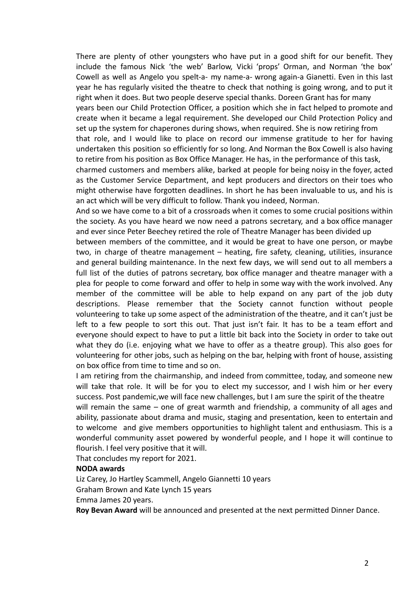There are plenty of other youngsters who have put in a good shift for our benefit. They include the famous Nick 'the web' Barlow, Vicki 'props' Orman, and Norman 'the box' Cowell as well as Angelo you spelt-a- my name-a- wrong again-a Gianetti. Even in this last year he has regularly visited the theatre to check that nothing is going wrong, and to put it right when it does. But two people deserve special thanks. Doreen Grant has for many years been our Child Protection Officer, a position which she in fact helped to promote and create when it became a legal requirement. She developed our Child Protection Policy and set up the system for chaperones during shows, when required. She is now retiring from that role, and I would like to place on record our immense gratitude to her for having undertaken this position so efficiently for so long. And Norman the Box Cowell is also having to retire from his position as Box Office Manager. He has, in the performance of this task, charmed customers and members alike, barked at people for being noisy in the foyer, acted as the Customer Service Department, and kept producers and directors on their toes who

might otherwise have forgotten deadlines. In short he has been invaluable to us, and his is an act which will be very difficult to follow. Thank you indeed, Norman. And so we have come to a bit of a crossroads when it comes to some crucial positions within

the society. As you have heard we now need a patrons secretary, and a box office manager and ever since Peter Beechey retired the role of Theatre Manager has been divided up

between members of the committee, and it would be great to have one person, or maybe two, in charge of theatre management – heating, fire safety, cleaning, utilities, insurance and general building maintenance. In the next few days, we will send out to all members a full list of the duties of patrons secretary, box office manager and theatre manager with a plea for people to come forward and offer to help in some way with the work involved. Any member of the committee will be able to help expand on any part of the job duty descriptions. Please remember that the Society cannot function without people volunteering to take up some aspect of the administration of the theatre, and it can't just be left to a few people to sort this out. That just isn't fair. It has to be a team effort and everyone should expect to have to put a little bit back into the Society in order to take out what they do (i.e. enjoying what we have to offer as a theatre group). This also goes for volunteering for other jobs, such as helping on the bar, helping with front of house, assisting on box office from time to time and so on.

I am retiring from the chairmanship, and indeed from committee, today, and someone new will take that role. It will be for you to elect my successor, and I wish him or her every success. Post pandemic,we will face new challenges, but I am sure the spirit of the theatre

will remain the same – one of great warmth and friendship, a community of all ages and ability, passionate about drama and music, staging and presentation, keen to entertain and to welcome and give members opportunities to highlight talent and enthusiasm. This is a wonderful community asset powered by wonderful people, and I hope it will continue to flourish. I feel very positive that it will.

That concludes my report for 2021.

#### **NODA awards**

Liz Carey, Jo Hartley Scammell, Angelo Giannetti 10 years Graham Brown and Kate Lynch 15 years Emma James 20 years.

**Roy Bevan Award** will be announced and presented at the next permitted Dinner Dance.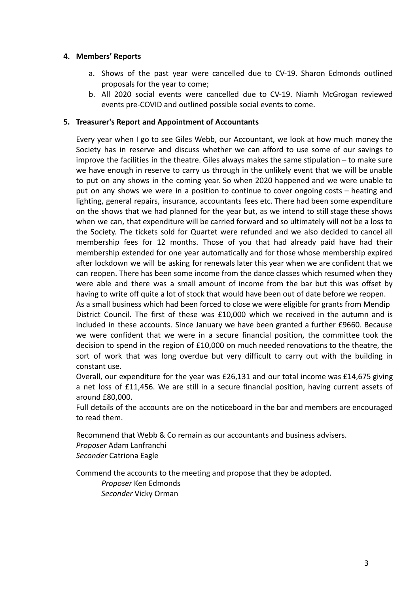# **4. Members' Reports**

- a. Shows of the past year were cancelled due to CV-19. Sharon Edmonds outlined proposals for the year to come;
- b. All 2020 social events were cancelled due to CV-19. Niamh McGrogan reviewed events pre-COVID and outlined possible social events to come.

# **5. Treasurer's Report and Appointment of Accountants**

Every year when I go to see Giles Webb, our Accountant, we look at how much money the Society has in reserve and discuss whether we can afford to use some of our savings to improve the facilities in the theatre. Giles always makes the same stipulation – to make sure we have enough in reserve to carry us through in the unlikely event that we will be unable to put on any shows in the coming year. So when 2020 happened and we were unable to put on any shows we were in a position to continue to cover ongoing costs – heating and lighting, general repairs, insurance, accountants fees etc. There had been some expenditure on the shows that we had planned for the year but, as we intend to still stage these shows when we can, that expenditure will be carried forward and so ultimately will not be a loss to the Society. The tickets sold for Quartet were refunded and we also decided to cancel all membership fees for 12 months. Those of you that had already paid have had their membership extended for one year automatically and for those whose membership expired after lockdown we will be asking for renewals later this year when we are confident that we can reopen. There has been some income from the dance classes which resumed when they were able and there was a small amount of income from the bar but this was offset by having to write off quite a lot of stock that would have been out of date before we reopen.

As a small business which had been forced to close we were eligible for grants from Mendip District Council. The first of these was £10,000 which we received in the autumn and is included in these accounts. Since January we have been granted a further £9660. Because we were confident that we were in a secure financial position, the committee took the decision to spend in the region of £10,000 on much needed renovations to the theatre, the sort of work that was long overdue but very difficult to carry out with the building in constant use.

Overall, our expenditure for the year was £26,131 and our total income was £14,675 giving a net loss of £11,456. We are still in a secure financial position, having current assets of around £80,000.

Full details of the accounts are on the noticeboard in the bar and members are encouraged to read them.

Recommend that Webb & Co remain as our accountants and business advisers. *Proposer* Adam Lanfranchi *Seconder* Catriona Eagle

Commend the accounts to the meeting and propose that they be adopted.

*Proposer* Ken Edmonds *Seconder* Vicky Orman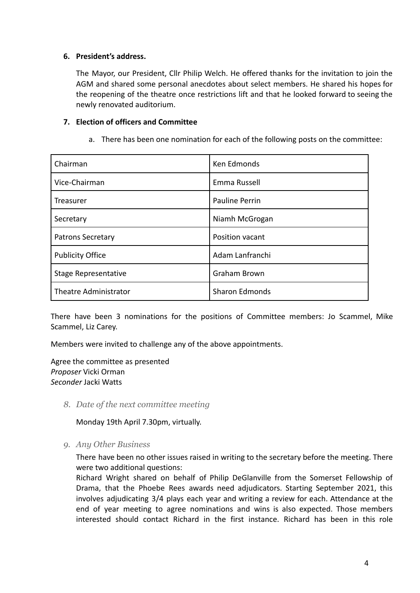# **6. President's address.**

The Mayor, our President, Cllr Philip Welch. He offered thanks for the invitation to join the AGM and shared some personal anecdotes about select members. He shared his hopes for the reopening of the theatre once restrictions lift and that he looked forward to seeing the newly renovated auditorium.

# **7. Election of officers and Committee**

a. There has been one nomination for each of the following posts on the committee:

| Chairman                 | Ken Edmonds           |
|--------------------------|-----------------------|
| Vice-Chairman            | Emma Russell          |
| Treasurer                | <b>Pauline Perrin</b> |
| Secretary                | Niamh McGrogan        |
| <b>Patrons Secretary</b> | Position vacant       |
| <b>Publicity Office</b>  | Adam Lanfranchi       |
| Stage Representative     | Graham Brown          |
| Theatre Administrator    | <b>Sharon Edmonds</b> |

There have been 3 nominations for the positions of Committee members: Jo Scammel, Mike Scammel, Liz Carey.

Members were invited to challenge any of the above appointments.

Agree the committee as presented *Proposer* Vicki Orman *Seconder* Jacki Watts

*8. Date of the next committee meeting*

Monday 19th April 7.30pm, virtually.

*9. Any Other Business*

There have been no other issues raised in writing to the secretary before the meeting. There were two additional questions:

Richard Wright shared on behalf of Philip DeGlanville from the Somerset Fellowship of Drama, that the Phoebe Rees awards need adjudicators. Starting September 2021, this involves adjudicating 3/4 plays each year and writing a review for each. Attendance at the end of year meeting to agree nominations and wins is also expected. Those members interested should contact Richard in the first instance. Richard has been in this role